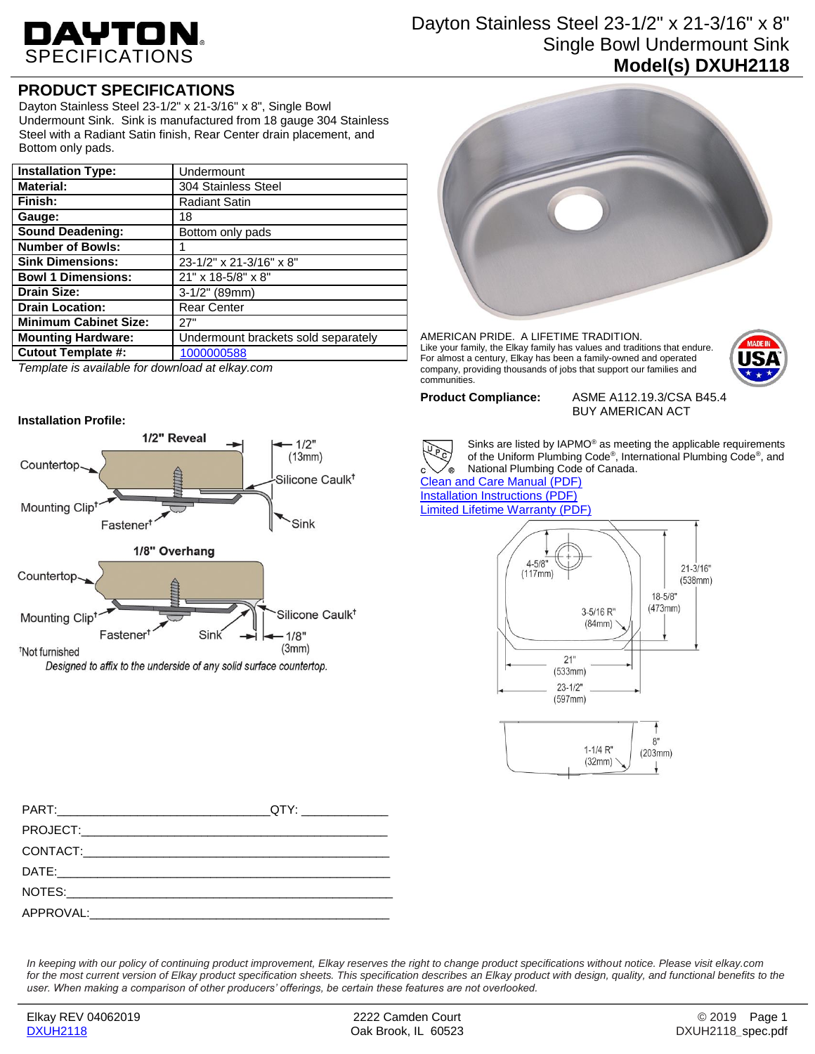# DAYTON.

## Dayton Stainless Steel 23-1/2" x 21-3/16" x 8" Single Bowl Undermount Sink **Model(s) DXUH2118**

## **PRODUCT SPECIFICATIONS**

Dayton Stainless Steel 23-1/2" x 21-3/16" x 8", Single Bowl Undermount Sink. Sink is manufactured from 18 gauge 304 Stainless Steel with a Radiant Satin finish, Rear Center drain placement, and Bottom only pads.

| <b>Installation Type:</b>    | Undermount                          |
|------------------------------|-------------------------------------|
| <b>Material:</b>             | 304 Stainless Steel                 |
| Finish:                      | <b>Radiant Satin</b>                |
| Gauge:                       | 18                                  |
| <b>Sound Deadening:</b>      | Bottom only pads                    |
| <b>Number of Bowls:</b>      |                                     |
| <b>Sink Dimensions:</b>      | 23-1/2" x 21-3/16" x 8"             |
| <b>Bowl 1 Dimensions:</b>    | 21" x 18-5/8" x 8"                  |
| <b>Drain Size:</b>           | $3-1/2$ " (89mm)                    |
| <b>Drain Location:</b>       | <b>Rear Center</b>                  |
| <b>Minimum Cabinet Size:</b> | 27"                                 |
| <b>Mounting Hardware:</b>    | Undermount brackets sold separately |
| <b>Cutout Template #:</b>    | 1000000588                          |

*Template is available for download at elkay.com*

### **Installation Profile:**



Designed to affix to the underside of any solid surface countertop.



AMERICAN PRIDE. A LIFETIME TRADITION. Like your family, the Elkay family has values and traditions that endure. For almost a century, Elkay has been a family-owned and operated company, providing thousands of jobs that support our families and communities.



**Product Compliance:** ASME A112.19.3/CSA B45.4 BUY AMERICAN ACT



Sinks are listed by IAPMO® as meeting the applicable requirements of the Uniform Plumbing Code®, International Plumbing Code®, and National Plumbing Code of Canada.

[Clean and Care Manual \(PDF\)](http://www.elkay.com/wcsstore/lkdocs/care-cleaning-install-warranty-sheets/residential%20and%20commercial%20care%20%20cleaning.pdf) [Installation Instructions \(PDF\)](http://www.elkay.com/wcsstore/lkdocs/care-cleaning-install-warranty-sheets/0000000229.pdf) [Limited Lifetime Warranty](http://www.elkay.com/wcsstore/lkdocs/care-cleaning-install-warranty-sheets/residential%20sinks%20warranty.pdf) (PDF)



*In keeping with our policy of continuing product improvement, Elkay reserves the right to change product specifications without notice. Please visit elkay.com*  for the most current version of Elkay product specification sheets. This specification describes an Elkay product with design, quality, and functional benefits to the *user. When making a comparison of other producers' offerings, be certain these features are not overlooked.*